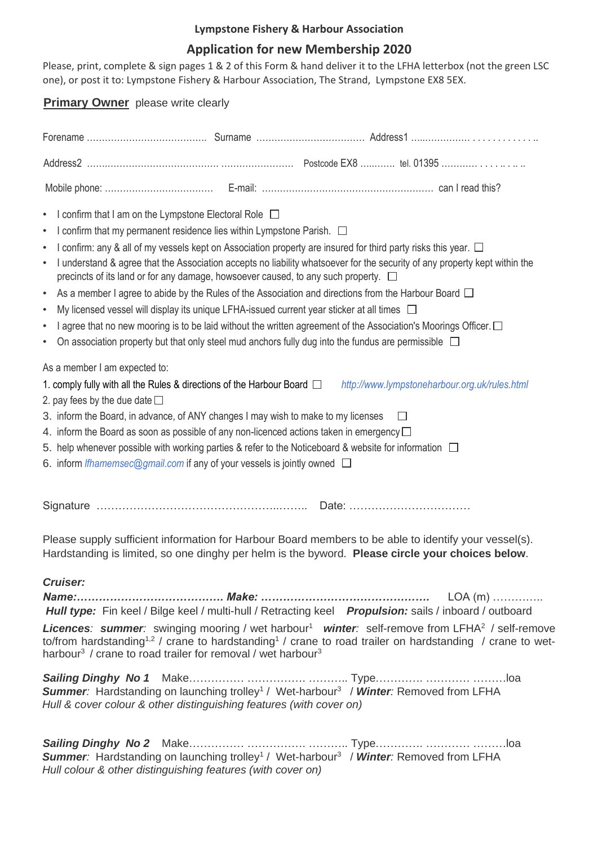### **Lympstone Fishery & Harbour Association**

## **Application for new Membership 2020**

Please, print, complete & sign pages 1 & 2 of this Form & hand deliver it to the LFHA letterbox (not the green LSC one), or post it to: Lympstone Fishery & Harbour Association, The Strand, Lympstone EX8 5EX.

### **Primary Owner** please write clearly

| I confirm that I am on the Lympstone Electoral Role □<br>$\bullet$<br>I confirm that my permanent residence lies within Lympstone Parish. $\Box$<br>$\bullet$<br>I confirm: any & all of my vessels kept on Association property are insured for third party risks this year. $\Box$<br>$\bullet$<br>I understand & agree that the Association accepts no liability whatsoever for the security of any property kept within the<br>$\bullet$<br>precincts of its land or for any damage, howsoever caused, to any such property. $\square$<br>As a member I agree to abide by the Rules of the Association and directions from the Harbour Board $\Box$<br>$\bullet$<br>My licensed vessel will display its unique LFHA-issued current year sticker at all times $\Box$<br>$\bullet$<br>I agree that no new mooring is to be laid without the written agreement of the Association's Moorings Officer. $\Box$<br>$\bullet$<br>On association property but that only steel mud anchors fully dug into the fundus are permissible $\Box$<br>$\bullet$ |         |                                               |
|-----------------------------------------------------------------------------------------------------------------------------------------------------------------------------------------------------------------------------------------------------------------------------------------------------------------------------------------------------------------------------------------------------------------------------------------------------------------------------------------------------------------------------------------------------------------------------------------------------------------------------------------------------------------------------------------------------------------------------------------------------------------------------------------------------------------------------------------------------------------------------------------------------------------------------------------------------------------------------------------------------------------------------------------------------|---------|-----------------------------------------------|
| As a member I am expected to:<br>1. comply fully with all the Rules & directions of the Harbour Board $\Box$<br>2. pay fees by the due date $\square$<br>3. inform the Board, in advance, of ANY changes I may wish to make to my licenses<br>4. inform the Board as soon as possible of any non-licenced actions taken in emergency $\Box$<br>5. help whenever possible with working parties & refer to the Noticeboard & website for information $\Box$<br>6. inform <i>Ifhamemsec@gmail.com</i> if any of your vessels is jointly owned $\Box$                                                                                                                                                                                                                                                                                                                                                                                                                                                                                                   | $\perp$ | http://www.lympstoneharbour.org.uk/rules.html |
|                                                                                                                                                                                                                                                                                                                                                                                                                                                                                                                                                                                                                                                                                                                                                                                                                                                                                                                                                                                                                                                     |         |                                               |
| Please supply sufficient information for Harbour Board members to be able to identify your vessel(s).<br>Hardstanding is limited, so one dinghy per helm is the byword. Please circle your choices below.                                                                                                                                                                                                                                                                                                                                                                                                                                                                                                                                                                                                                                                                                                                                                                                                                                           |         |                                               |
| <b>Cruiser:</b><br>Hull type: Fin keel / Bilge keel / multi-hull / Retracting keel Propulsion: sails / inboard / outboard<br><b>Licences: summer:</b> swinging mooring / wet harbour <sup>1</sup> winter: self-remove from LFHA <sup>2</sup> / self-remove<br>to/from hardstanding <sup>1,2</sup> / crane to hardstanding <sup>1</sup> / crane to road trailer on hardstanding / crane to wet-<br>harbour <sup>3</sup> / crane to road trailer for removal / wet harbour <sup>3</sup>                                                                                                                                                                                                                                                                                                                                                                                                                                                                                                                                                               |         |                                               |
| <b>Summer:</b> Hardstanding on launching trolley <sup>1</sup> / Wet-harbour <sup>3</sup> / Winter: Removed from LFHA<br>Hull & cover colour & other distinguishing features (with cover on)                                                                                                                                                                                                                                                                                                                                                                                                                                                                                                                                                                                                                                                                                                                                                                                                                                                         |         |                                               |
| Summer: Hardstanding on launching trolley <sup>1</sup> / Wet-harbour <sup>3</sup> / Winter: Removed from LFHA<br>Hull colour & other distinguishing features (with cover on)                                                                                                                                                                                                                                                                                                                                                                                                                                                                                                                                                                                                                                                                                                                                                                                                                                                                        |         |                                               |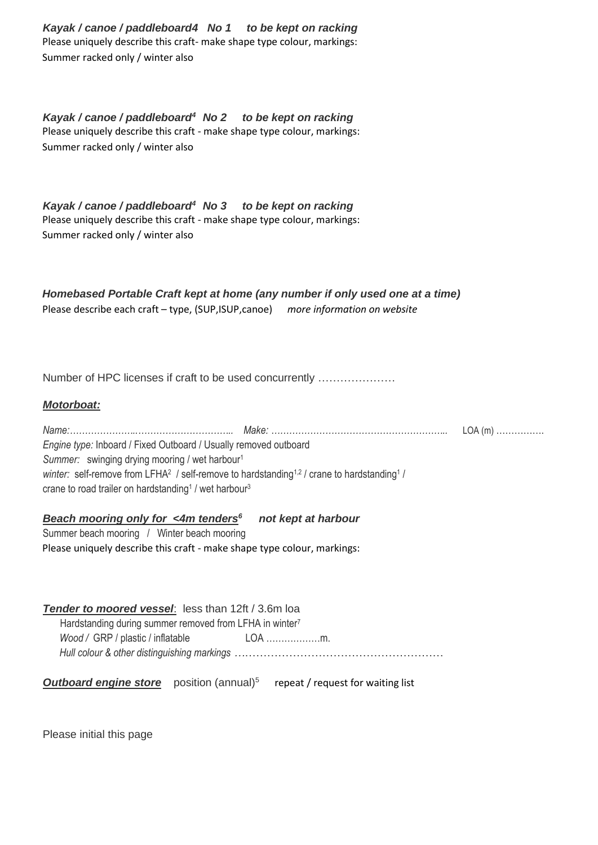*Kayak / canoe / paddleboard4 No 1 to be kept on racking* Please uniquely describe this craft- make shape type colour, markings: Summer racked only / winter also

*Kayak / canoe / paddleboard<sup>4</sup>No 2 to be kept on racking* Please uniquely describe this craft - make shape type colour, markings: Summer racked only / winter also

*Kayak / canoe / paddleboard<sup>4</sup>No 3 to be kept on racking* Please uniquely describe this craft - make shape type colour, markings: Summer racked only / winter also

*Homebased Portable Craft kept at home (any number if only used one at a time)* Please describe each craft – type, (SUP,ISUP,canoe) *more information on website*

Number of HPC licenses if craft to be used concurrently …………………

### *Motorboat:*

| Engine type: Inboard / Fixed Outboard / Usually removed outboard                                                               |  |
|--------------------------------------------------------------------------------------------------------------------------------|--|
| Summer: swinging drying mooring / wet harbour <sup>1</sup>                                                                     |  |
| winter: self-remove from LFHA <sup>2</sup> / self-remove to hardstanding <sup>1,2</sup> / crane to hardstanding <sup>1</sup> / |  |
| crane to road trailer on hardstanding <sup>1</sup> / wet harbour <sup>3</sup>                                                  |  |

#### *Beach mooring only for <4m tenders<sup>6</sup>not kept at harbour*

Summer beach mooring / Winter beach mooring Please uniquely describe this craft - make shape type colour, markings:

*Tender to moored vessel*: less than 12ft / 3.6m loa Hardstanding during summer removed from LFHA in winter<sup>7</sup> *Wood /* GRP / plastic / inflatable LOA ………………m. *Hull colour & other distinguishing markings …*………………………………………………

**Outboard engine store** position (annual)<sup>5</sup> repeat / request for waiting list

Please initial this page